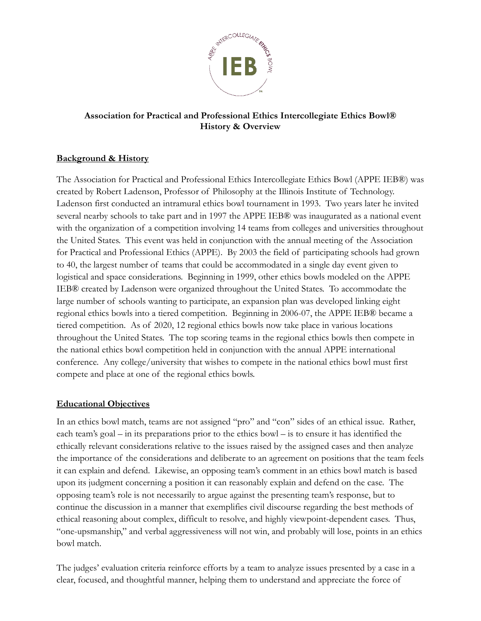

#### **Association for Practical and Professional Ethics Intercollegiate Ethics Bowl® History & Overview**

## **Background & History**

The Association for Practical and Professional Ethics Intercollegiate Ethics Bowl (APPE IEB®) was created by Robert Ladenson, Professor of Philosophy at the Illinois Institute of Technology. Ladenson first conducted an intramural ethics bowl tournament in 1993. Two years later he invited several nearby schools to take part and in 1997 the APPE IEB® was inaugurated as a national event with the organization of a competition involving 14 teams from colleges and universities throughout the United States. This event was held in conjunction with the annual meeting of the Association for Practical and Professional Ethics (APPE). By 2003 the field of participating schools had grown to 40, the largest number of teams that could be accommodated in a single day event given to logistical and space considerations. Beginning in 1999, other ethics bowls modeled on the APPE IEB® created by Ladenson were organized throughout the United States. To accommodate the large number of schools wanting to participate, an expansion plan was developed linking eight regional ethics bowls into a tiered competition. Beginning in 2006-07, the APPE IEB® became a tiered competition. As of 2020, 12 regional ethics bowls now take place in various locations throughout the United States. The top scoring teams in the regional ethics bowls then compete in the national ethics bowl competition held in conjunction with the annual APPE international conference. Any college/university that wishes to compete in the national ethics bowl must first compete and place at one of the regional ethics bowls.

#### **Educational Objectives**

In an ethics bowl match, teams are not assigned "pro" and "con" sides of an ethical issue. Rather, each team's goal – in its preparations prior to the ethics bowl – is to ensure it has identified the ethically relevant considerations relative to the issues raised by the assigned cases and then analyze the importance of the considerations and deliberate to an agreement on positions that the team feels it can explain and defend. Likewise, an opposing team's comment in an ethics bowl match is based upon its judgment concerning a position it can reasonably explain and defend on the case. The opposing team's role is not necessarily to argue against the presenting team's response, but to continue the discussion in a manner that exemplifies civil discourse regarding the best methods of ethical reasoning about complex, difficult to resolve, and highly viewpoint-dependent cases. Thus, "one-upsmanship," and verbal aggressiveness will not win, and probably will lose, points in an ethics bowl match.

The judges' evaluation criteria reinforce efforts by a team to analyze issues presented by a case in a clear, focused, and thoughtful manner, helping them to understand and appreciate the force of